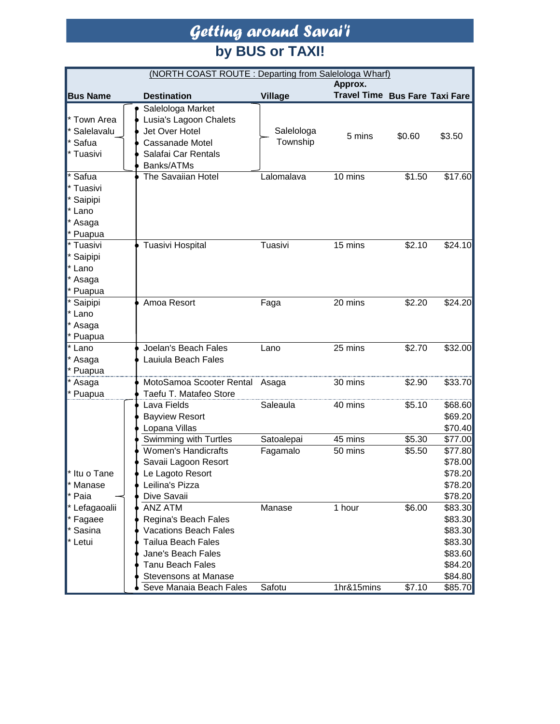### *Getting around Savai'i* **by BUS or TAXI!**

| (NORTH COAST ROUTE: Departing from Salelologa Wharf)                                               |  |                                                                                                                                                                       |                        |                                |                  |                                                                           |
|----------------------------------------------------------------------------------------------------|--|-----------------------------------------------------------------------------------------------------------------------------------------------------------------------|------------------------|--------------------------------|------------------|---------------------------------------------------------------------------|
|                                                                                                    |  |                                                                                                                                                                       |                        | Approx.                        |                  |                                                                           |
| <b>Bus Name</b>                                                                                    |  | <b>Destination</b>                                                                                                                                                    | <b>Village</b>         | Travel Time Bus Fare Taxi Fare |                  |                                                                           |
| <sup>*</sup> Town Area<br>* Salelavalu<br>* Safua<br>Tuasivi                                       |  | Salelologa Market<br>Lusia's Lagoon Chalets<br>Jet Over Hotel<br>Cassanade Motel<br>Salafai Car Rentals<br>Banks/ATMs                                                 | Salelologa<br>Township | 5 mins                         | \$0.60           | \$3.50                                                                    |
| Safua<br>Tuasivi<br>* Saipipi<br>* Lano<br>* Asaga<br>* Puapua                                     |  | The Savaiian Hotel                                                                                                                                                    | Lalomalava             | 10 mins                        | \$1.50           | \$17.60                                                                   |
| Tuasivi<br>* Saipipi<br>* Lano<br>* Asaga<br>* Puapua                                              |  | Tuasivi Hospital                                                                                                                                                      | Tuasivi                | 15 mins                        | \$2.10           | \$24.10                                                                   |
| Saipipi<br>* Lano<br>* Asaga<br>* Puapua                                                           |  | Amoa Resort                                                                                                                                                           | Faga                   | 20 mins                        | \$2.20           | \$24.20                                                                   |
| * Lano<br>* Asaga<br>* Puapua                                                                      |  | Joelan's Beach Fales<br>Lauiula Beach Fales                                                                                                                           | Lano                   | 25 mins                        | \$2.70           | \$32.00                                                                   |
| * Asaga<br>* Puapua                                                                                |  | MotoSamoa Scooter Rental Asaga<br>Taefu T. Matafeo Store                                                                                                              |                        | 30 mins                        | \$2.90           | \$33.70                                                                   |
| l* Itu o Tane<br><sup>*</sup> Manase<br>* Paia<br>* Lefagaoalii<br>* Fagaee<br>* Sasina<br>* Letui |  | Lava Fields<br><b>Bayview Resort</b><br>Lopana Villas                                                                                                                 | Saleaula               | 40 mins                        | \$5.10           | \$68.60<br>\$69.20<br>\$70.40                                             |
|                                                                                                    |  | Swimming with Turtles<br><b>Women's Handicrafts</b><br>Savaii Lagoon Resort<br>e Lagoto Resort<br>Leilina's Pizza<br>Dive Savaii                                      | Satoalepai<br>Fagamalo | 45 mins<br>50 mins             | \$5.30<br>\$5.50 | \$77.00<br>\$77.80<br>\$78.00<br>\$78.20<br>\$78.20<br>\$78.20            |
|                                                                                                    |  | ANZ ATM<br>Regina's Beach Fales<br><b>Vacations Beach Fales</b><br><b>Tailua Beach Fales</b><br>Jane's Beach Fales<br><b>Tanu Beach Fales</b><br>Stevensons at Manase | Manase                 | 1 hour                         | \$6.00           | \$83.30<br>\$83.30<br>\$83.30<br>\$83.30<br>\$83.60<br>\$84.20<br>\$84.80 |
|                                                                                                    |  | Seve Manaia Beach Fales                                                                                                                                               | Safotu                 | 1hr&15mins                     | \$7.10           | \$85.70                                                                   |